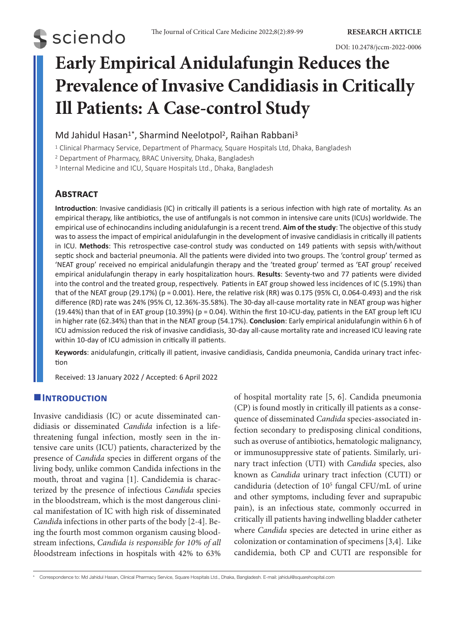# **S** sciendo

DOI: 10.2478/jccm-2022-0006

# **Early Empirical Anidulafungin Reduces the Prevalence of Invasive Candidiasis in Critically Ill Patients: A Case-control Study**

### Md Jahidul Hasan<sup>1\*</sup>, Sharmind Neelotpol<sup>2</sup>, Raihan Rabbani<sup>3</sup>

<sup>1</sup> Clinical Pharmacy Service, Department of Pharmacy, Square Hospitals Ltd, Dhaka, Bangladesh

<sup>2</sup> Department of Pharmacy, BRAC University, Dhaka, Bangladesh

<sup>3</sup> Internal Medicine and ICU, Square Hospitals Ltd., Dhaka, Bangladesh

## **Abstract**

**Introduction**: Invasive candidiasis (IC) in critically ill patients is a serious infection with high rate of mortality. As an empirical therapy, like antibiotics, the use of antifungals is not common in intensive care units (ICUs) worldwide. The empirical use of echinocandins including anidulafungin is a recent trend. **Aim of the study**: The objective of this study was to assess the impact of empirical anidulafungin in the development of invasive candidiasis in critically ill patients in ICU. **Methods**: This retrospective case-control study was conducted on 149 patients with sepsis with/without septic shock and bacterial pneumonia. All the patients were divided into two groups. The 'control group' termed as 'NEAT group' received no empirical anidulafungin therapy and the 'treated group' termed as 'EAT group' received empirical anidulafungin therapy in early hospitalization hours. **Results**: Seventy-two and 77 patients were divided into the control and the treated group, respectively. Patients in EAT group showed less incidences of IC (5.19%) than that of the NEAT group (29.17%) (p = 0.001). Here, the relative risk (RR) was 0.175 (95% CI, 0.064-0.493) and the risk difference (RD) rate was 24% (95% CI, 12.36%-35.58%). The 30-day all-cause mortality rate in NEAT group was higher (19.44%) than that of in EAT group (10.39%) (p = 0.04). Within the first 10-ICU-day, patients in the EAT group left ICU in higher rate (62.34%) than that in the NEAT group (54.17%). **Conclusion**: Early empirical anidulafungin within 6 h of ICU admission reduced the risk of invasive candidiasis, 30-day all-cause mortality rate and increased ICU leaving rate within 10-day of ICU admission in critically ill patients.

**Keywords**: anidulafungin, critically ill patient, invasive candidiasis, Candida pneumonia, Candida urinary tract infection

Received: 13 January 2022 / Accepted: 6 April 2022

### $I$ **INTRODUCTION**

Invasive candidiasis (IC) or acute disseminated candidiasis or disseminated *Candida* infection is a lifethreatening fungal infection, mostly seen in the intensive care units (ICU) patients, characterized by the presence of *Candida* species in different organs of the living body, unlike common Candida infections in the mouth, throat and vagina [1]. Candidemia is characterized by the presence of infectious *Candida* species in the bloodstream, which is the most dangerous clinical manifestation of IC with high risk of disseminated *Candid*a infections in other parts of the body [2-4]. Being the fourth most common organism causing bloodstream infections, *Candida is responsible for 10% of all b*loodstream infections in hospitals with 42% to 63% of hospital mortality rate [5, 6]. Candida pneumonia (CP) is found mostly in critically ill patients as a consequence of disseminated *Candida* species-associated infection secondary to predisposing clinical conditions, such as overuse of antibiotics, hematologic malignancy, or immunosuppressive state of patients. Similarly, urinary tract infection (UTI) with *Candida* species, also known as *Candida* urinary tract infection (CUTI) or candiduria (detection of 105 fungal CFU/mL of urine and other symptoms, including fever and suprapubic pain), is an infectious state, commonly occurred in critically ill patients having indwelling bladder catheter where *Candida* species are detected in urine either as colonization or contamination of specimens [3,4]. Like candidemia, both CP and CUTI are responsible for

\* Correspondence to: Md Jahidul Hasan, Clinical Pharmacy Service, Square Hospitals Ltd., Dhaka, Bangladesh. E-mail: jahidul@squarehospital.com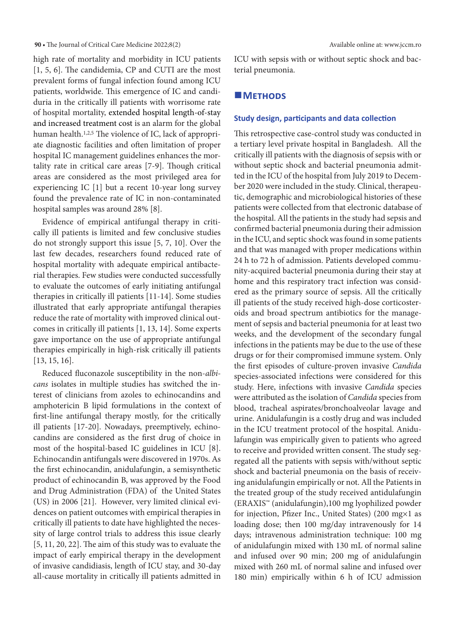**90 •** The Journal of Critical Care Medicine 2022;8(2) Available online at: www.jccm.ro

high rate of mortality and morbidity in ICU patients [1, 5, 6]. The candidemia, CP and CUTI are the most prevalent forms of fungal infection found among ICU patients, worldwide. This emergence of IC and candiduria in the critically ill patients with worrisome rate of hospital mortality, extended hospital length-of-stay and increased treatment cost is an alarm for the global human health.<sup>1,2,5</sup> The violence of IC, lack of appropriate diagnostic facilities and often limitation of proper hospital IC management guidelines enhances the mortality rate in critical care areas [7-9]. Though critical areas are considered as the most privileged area for experiencing IC [1] but a recent 10-year long survey found the prevalence rate of IC in non-contaminated hospital samples was around 28% [8].

Evidence of empirical antifungal therapy in critically ill patients is limited and few conclusive studies do not strongly support this issue [5, 7, 10]. Over the last few decades, researchers found reduced rate of hospital mortality with adequate empirical antibacterial therapies. Few studies were conducted successfully to evaluate the outcomes of early initiating antifungal therapies in critically ill patients [11-14]. Some studies illustrated that early appropriate antifungal therapies reduce the rate of mortality with improved clinical outcomes in critically ill patients [1, 13, 14]. Some experts gave importance on the use of appropriate antifungal therapies empirically in high-risk critically ill patients [13, 15, 16].

Reduced fluconazole susceptibility in the non-*albicans* isolates in multiple studies has switched the interest of clinicians from azoles to echinocandins and amphotericin B lipid formulations in the context of first-line antifungal therapy mostly, for the critically ill patients [17-20]. Nowadays, preemptively, echinocandins are considered as the first drug of choice in most of the hospital-based IC guidelines in ICU [8]. Echinocandin antifungals were discovered in 1970s. As the first echinocandin, anidulafungin, a semisynthetic product of echinocandin B, was approved by the Food and Drug Administration (FDA) of the United States (US) in 2006 [21]. However, very limited clinical evidences on patient outcomes with empirical therapies in critically ill patients to date have highlighted the necessity of large control trials to address this issue clearly [5, 11, 20, 22]. The aim of this study was to evaluate the impact of early empirical therapy in the development of invasive candidiasis, length of ICU stay, and 30-day all-cause mortality in critically ill patients admitted in ICU with sepsis with or without septic shock and bacterial pneumonia.

#### **METHODS**

#### **Study design, participants and data collection**

This retrospective case-control study was conducted in a tertiary level private hospital in Bangladesh. All the critically ill patients with the diagnosis of sepsis with or without septic shock and bacterial pneumonia admitted in the ICU of the hospital from July 2019 to December 2020 were included in the study. Clinical, therapeutic, demographic and microbiological histories of these patients were collected from that electronic database of the hospital. All the patients in the study had sepsis and confirmed bacterial pneumonia during their admission in the ICU, and septic shock was found in some patients and that was managed with proper medications within 24 h to 72 h of admission. Patients developed community-acquired bacterial pneumonia during their stay at home and this respiratory tract infection was considered as the primary source of sepsis. All the critically ill patients of the study received high-dose corticosteroids and broad spectrum antibiotics for the management of sepsis and bacterial pneumonia for at least two weeks, and the development of the secondary fungal infections in the patients may be due to the use of these drugs or for their compromised immune system. Only the first episodes of culture-proven invasive *Candida* species-associated infections were considered for this study. Here, infections with invasive *Candida* species were attributed as the isolation of *Candida* species from blood, tracheal aspirates/bronchoalveolar lavage and urine. Anidulafungin is a costly drug and was included in the ICU treatment protocol of the hospital. Anidulafungin was empirically given to patients who agreed to receive and provided written consent. The study segregated all the patients with sepsis with/without septic shock and bacterial pneumonia on the basis of receiving anidulafungin empirically or not. All the Patients in the treated group of the study received antidulafungin (ERAXIS™ (anidulafungin),100 mg lyophilized powder for injection, Pfizer Inc., United States) (200 mg×1 as loading dose; then 100 mg/day intravenously for 14 days; intravenous administration technique: 100 mg of anidulafungin mixed with 130 mL of normal saline and infused over 90 min; 200 mg of anidulafungin mixed with 260 mL of normal saline and infused over 180 min) empirically within 6 h of ICU admission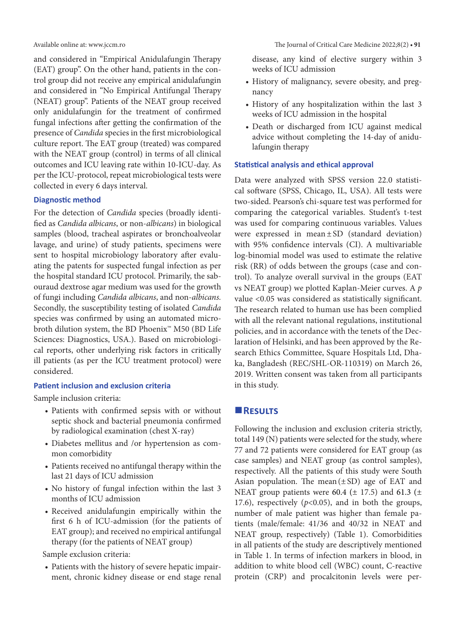and considered in "Empirical Anidulafungin Therapy (EAT) group". On the other hand, patients in the control group did not receive any empirical anidulafungin and considered in "No Empirical Antifungal Therapy (NEAT) group". Patients of the NEAT group received only anidulafungin for the treatment of confirmed fungal infections after getting the confirmation of the presence of *Candida* species in the first microbiological culture report. The EAT group (treated) was compared with the NEAT group (control) in terms of all clinical outcomes and ICU leaving rate within 10-ICU-day. As per the ICU-protocol, repeat microbiological tests were collected in every 6 days interval.

#### **Diagnostic method**

For the detection of *Candida* species (broadly identified as *Candida albicans*, or non-*albicans*) in biological samples (blood, tracheal aspirates or bronchoalveolar lavage, and urine) of study patients, specimens were sent to hospital microbiology laboratory after evaluating the patents for suspected fungal infection as per the hospital standard ICU protocol. Primarily, the sabouraud dextrose agar medium was used for the growth of fungi including *Candida albicans*, and non-*albicans.* Secondly, the susceptibility testing of isolated *Candida* species was confirmed by using an automated microbroth dilution system, the BD Phoenix™ M50 (BD Life Sciences: Diagnostics, USA.). Based on microbiological reports, other underlying risk factors in critically ill patients (as per the ICU treatment protocol) were considered.

#### **Patient inclusion and exclusion criteria**

Sample inclusion criteria:

- Patients with confirmed sepsis with or without septic shock and bacterial pneumonia confirmed by radiological examination (chest X-ray)
- • Diabetes mellitus and /or hypertension as common comorbidity
- Patients received no antifungal therapy within the last 21 days of ICU admission
- No history of fungal infection within the last 3 months of ICU admission
- • Received anidulafungin empirically within the first 6 h of ICU-admission (for the patients of EAT group); and received no empirical antifungal therapy (for the patients of NEAT group)

Sample exclusion criteria:

• Patients with the history of severe hepatic impairment, chronic kidney disease or end stage renal disease, any kind of elective surgery within 3 weeks of ICU admission

- • History of malignancy, severe obesity, and pregnancy
- History of any hospitalization within the last 3 weeks of ICU admission in the hospital
- • Death or discharged from ICU against medical advice without completing the 14-day of anidulafungin therapy

#### **Statistical analysis and ethical approval**

Data were analyzed with SPSS version 22.0 statistical software (SPSS, Chicago, IL, USA). All tests were two-sided. Pearson's chi-square test was performed for comparing the categorical variables. Student's t-test was used for comparing continuous variables. Values were expressed in mean±SD (standard deviation) with 95% confidence intervals (CI). A multivariable log-binomial model was used to estimate the relative risk (RR) of odds between the groups (case and control). To analyze overall survival in the groups (EAT vs NEAT group) we plotted Kaplan-Meier curves. A *p* value <0.05 was considered as statistically significant. The research related to human use has been complied with all the relevant national regulations, institutional policies, and in accordance with the tenets of the Declaration of Helsinki, and has been approved by the Research Ethics Committee, Square Hospitals Ltd, Dhaka, Bangladesh (REC/SHL-OR-110319) on March 26, 2019. Written consent was taken from all participants in this study.

#### **Results**

Following the inclusion and exclusion criteria strictly, total 149 (N) patients were selected for the study, where 77 and 72 patients were considered for EAT group (as case samples) and NEAT group (as control samples), respectively. All the patients of this study were South Asian population. The mean $(\pm SD)$  age of EAT and NEAT group patients were 60.4 ( $\pm$  17.5) and 61.3 ( $\pm$ 17.6), respectively (*p*<0.05), and in both the groups, number of male patient was higher than female patients (male/female: 41/36 and 40/32 in NEAT and NEAT group, respectively) (Table 1). Comorbidities in all patients of the study are descriptively mentioned in Table 1. In terms of infection markers in blood, in addition to white blood cell (WBC) count, C-reactive protein (CRP) and procalcitonin levels were per-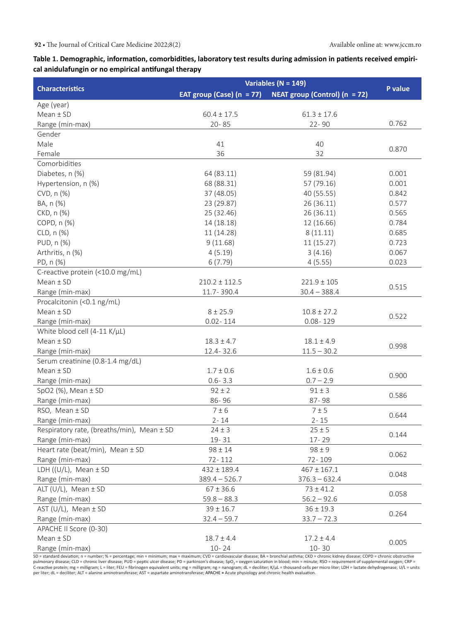#### **Table 1. Demographic, information, comorbidities, laboratory test results during admission in patients received empirical anidulafungin or no empirical antifungal therapy**

|                                                | Variables ( $N = 149$ )     |                                 |                        |  |
|------------------------------------------------|-----------------------------|---------------------------------|------------------------|--|
| <b>Characteristics</b>                         | EAT group (Case) $(n = 77)$ | NEAT group (Control) $(n = 72)$ | P value                |  |
| Age (year)                                     |                             |                                 |                        |  |
| $Mean \pm SD$                                  | $60.4 \pm 17.5$             | $61.3 \pm 17.6$                 |                        |  |
| Range (min-max)                                | $20 - 85$                   | $22 - 90$                       | 0.762                  |  |
| Gender                                         |                             |                                 |                        |  |
| Male                                           | 41                          | 40                              |                        |  |
| Female                                         | 36                          | 32                              | 0.870                  |  |
| Comorbidities                                  |                             |                                 |                        |  |
| Diabetes, n (%)                                | 64 (83.11)                  | 59 (81.94)                      | 0.001                  |  |
| Hypertension, n (%)                            | 68 (88.31)                  | 57 (79.16)                      | 0.001                  |  |
| CVD, n (%)                                     | 37 (48.05)                  | 40 (55.55)                      | 0.842                  |  |
| BA, n (%)                                      | 23 (29.87)                  | 26 (36.11)                      | 0.577                  |  |
| CKD, n (%)                                     | 25 (32.46)                  | 26(36.11)                       | 0.565                  |  |
| COPD, n (%)                                    | 14 (18.18)                  | 12 (16.66)                      | 0.784                  |  |
| CLD, n (%)                                     | 11 (14.28)                  | 8(11.11)                        | 0.685                  |  |
| PUD, n (%)                                     | 9(11.68)                    | 11(15.27)                       | 0.723                  |  |
| Arthritis, n (%)                               | 4(5.19)                     | 3(4.16)                         | 0.067                  |  |
| PD, n (%)                                      | 6(7.79)                     | 4(5.55)                         | 0.023                  |  |
| C-reactive protein (<10.0 mg/mL)               |                             |                                 |                        |  |
| $Mean \pm SD$                                  | $210.2 \pm 112.5$           | $221.9 \pm 105$                 | 0.515                  |  |
| Range (min-max)                                | 11.7-390.4                  | $30.4 - 388.4$                  |                        |  |
| Procalcitonin (<0.1 ng/mL)                     |                             |                                 |                        |  |
| $Mean \pm SD$                                  | $8 + 25.9$                  | $10.8 \pm 27.2$                 | 0.522                  |  |
| Range (min-max)                                | $0.02 - 114$                | $0.08 - 129$                    |                        |  |
| White blood cell (4-11 K/µL)                   |                             |                                 |                        |  |
| $Mean \pm SD$                                  | $18.3 \pm 4.7$              | $18.1 \pm 4.9$                  | 0.998                  |  |
| Range (min-max)                                | 12.4 - 32.6                 | $11.5 - 30.2$                   |                        |  |
| Serum creatinine (0.8-1.4 mg/dL)               |                             |                                 |                        |  |
| $Mean \pm SD$                                  | $1.7 \pm 0.6$               | $1.6 \pm 0.6$                   | 0.900                  |  |
| Range (min-max)                                | $0.6 - 3.3$                 | $0.7 - 2.9$                     |                        |  |
| SpO2 $(\%)$ , Mean $\pm$ SD                    | $92 \pm 2$                  | $91 \pm 3$                      | 0.586                  |  |
| Range (min-max)                                | 86-96                       | 87-98                           |                        |  |
| RSO, Mean ± SD                                 | $7 \pm 6$                   | 7±5                             | 0.644                  |  |
| Range (min-max)                                | $2 - 14$                    | $2 - 15$                        |                        |  |
| Respiratory rate, (breaths/min), Mean $\pm$ SD | $24 \pm 3$                  | $25 \pm 5$                      | 0.144                  |  |
| Range (min-max)                                | $19 - 31$                   | 17-29                           |                        |  |
| Heart rate (beat/min), Mean ± SD               | $98 \pm 14$                 | $98 \pm 9$                      | 0.062                  |  |
| Range (min-max)                                | 72-112                      | 72-109                          |                        |  |
| LDH $((U/L))$ , Mean $\pm$ SD                  | $432 \pm 189.4$             | $467 \pm 167.1$                 | 0.048                  |  |
| Range (min-max)                                | $389.4 - 526.7$             | $376.3 - 632.4$                 |                        |  |
| ALT (U/L), Mean ± SD                           | $67 \pm 36.6$               | $73 \pm 41.2$                   | 0.058                  |  |
| Range (min-max)                                | $59.8 - 88.3$               | $56.2 - 92.6$                   |                        |  |
| AST (U/L), Mean $\pm$ SD                       | $39 \pm 16.7$               | $36 \pm 19.3$                   | 0.264<br>$33.7 - 72.3$ |  |
| Range (min-max)                                | $32.4 - 59.7$               |                                 |                        |  |
| APACHE II Score (0-30)                         |                             |                                 |                        |  |
| $Mean \pm SD$                                  | $18.7 \pm 4.4$              | $17.2 \pm 4.4$                  | 0.005                  |  |
| Range (min-max)                                | $10 - 24$                   | $10 - 30$                       |                        |  |

SD = standard deviation; n = number; % = percentage; min = minimum; max = maximum; CVD = cardiovascular disease; BA = bronchial asthma; CKD = chronic kidney disease; COPD = chronic obstructive pulmonary disease; CLD = chronic liver disease; PUD = peptic ulcer disease; PD = parkinson's disease; SpO\_= oxygen saturation in blood; min = minute; RSO = requirement of supplemental oxygen; CRP =<br>C-reactive protein; mg per liter; dL = deciliter; ALT = alanine aminotransferase; AST = aspartate aminotransferase; APACHE **=** Acute physiology and chronic health evaluation.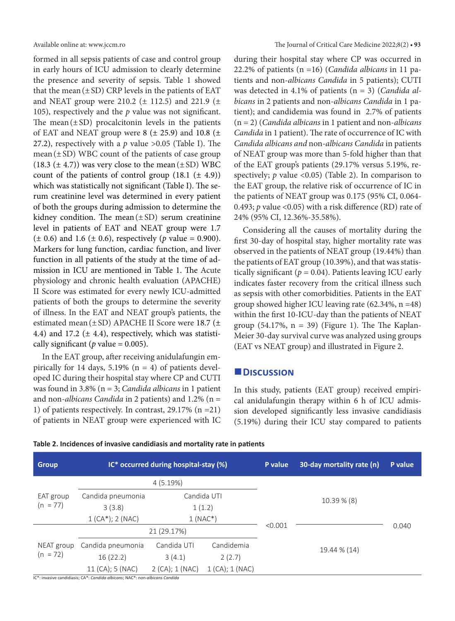formed in all sepsis patients of case and control group in early hours of ICU admission to clearly determine the presence and severity of sepsis. Table 1 showed that the mean  $(\pm SD)$  CRP levels in the patients of EAT and NEAT group were 210.2 ( $\pm$  112.5) and 221.9 ( $\pm$ 105), respectively and the *p* value was not significant. The mean $(\pm SD)$  procalcitonin levels in the patients of EAT and NEAT group were  $8$  ( $\pm$  25.9) and 10.8 ( $\pm$ 27.2), respectively with a  $p$  value  $>0.05$  (Table I). The mean  $(\pm SD)$  WBC count of the patients of case group  $(18.3 \ (\pm 4.7))$  was very close to the mean  $(\pm SD)$  WBC count of the patients of control group  $(18.1 \pm 4.9)$ ) which was statistically not significant (Table I). The serum creatinine level was determined in every patient of both the groups during admission to determine the kidney condition. The mean $(\pm SD)$  serum creatinine level in patients of EAT and NEAT group were 1.7  $(\pm 0.6)$  and 1.6 ( $\pm 0.6$ ), respectively (*p* value = 0.900). Markers for lung function, cardiac function, and liver function in all patients of the study at the time of admission in ICU are mentioned in Table 1. The Acute physiology and chronic health evaluation (APACHE) II Score was estimated for every newly ICU-admitted patients of both the groups to determine the severity of illness. In the EAT and NEAT group's patients, the estimated mean  $(\pm SD)$  APACHE II Score were 18.7 ( $\pm$ 4.4) and 17.2 ( $\pm$  4.4), respectively, which was statistically significant ( $p$  value = 0.005).

In the EAT group, after receiving anidulafungin empirically for 14 days,  $5.19\%$  (n = 4) of patients developed IC during their hospital stay where CP and CUTI was found in 3.8% (n = 3; *Candida albicans* in 1 patient and non-*albicans Candida* in 2 patients) and 1.2% (n = 1) of patients respectively. In contrast, 29.17% (n =21) of patients in NEAT group were experienced with IC during their hospital stay where CP was occurred in 22.2% of patients (n =16) (*Candida albicans* in 11 patients and non-*albicans Candida* in 5 patients); CUTI was detected in 4.1% of patients (n = 3) (*Candida albicans* in 2 patients and non-*albicans Candida* in 1 patient); and candidemia was found in 2.7% of patients (n = 2) (*Candida albicans* in 1 patient and non-*albicans Candida* in 1 patient). The rate of occurrence of IC with *Candida albicans and* non-*albicans Candida* in patients of NEAT group was more than 5-fold higher than that of the EAT group's patients (29.17% versus 5.19%, respectively;  $p$  value <0.05) (Table 2). In comparison to the EAT group, the relative risk of occurrence of IC in the patients of NEAT group was 0.175 (95% CI, 0.064- 0.493; *p* value <0.05) with a risk difference (RD) rate of 24% (95% CI, 12.36%-35.58%).

Considering all the causes of mortality during the first 30-day of hospital stay, higher mortality rate was observed in the patients of NEAT group (19.44%) than the patients of EAT group (10.39%), and that was statistically significant ( $p = 0.04$ ). Patients leaving ICU early indicates faster recovery from the critical illness such as sepsis with other comorbidities. Patients in the EAT group showed higher ICU leaving rate (62.34%, n =48) within the first 10-ICU-day than the patients of NEAT group (54.17%,  $n = 39$ ) (Figure 1). The The Kaplan-Meier 30-day survival curve was analyzed using groups (EAT vs NEAT group) and illustrated in Figure 2.

#### **Discussion**

In this study, patients (EAT group) received empirical anidulafungin therapy within 6 h of ICU admission developed significantly less invasive candidiasis (5.19%) during their ICU stay compared to patients

| <b>Group</b>             | IC* occurred during hospital-stay (%) |                     |                     | P value      | 30-day mortality rate (n) | P value |
|--------------------------|---------------------------------------|---------------------|---------------------|--------------|---------------------------|---------|
|                          | 4(5.19%)                              |                     |                     |              |                           |         |
| EAT group<br>$(n = 77)$  | Candida pneumonia                     | Candida UTI         |                     |              | 10.39 % (8)               |         |
|                          | 3(3.8)                                | 1(1.2)              |                     |              |                           |         |
|                          | $1$ (CA*); 2 (NAC)                    | $1(NAC*)$           |                     |              |                           |         |
|                          | 21 (29.17%)                           |                     |                     | < 0.001      |                           | 0.040   |
| NEAT group<br>$(n = 72)$ | Candida pneumonia                     | Candida UTI         | Candidemia          | 19.44 % (14) |                           |         |
|                          | 16(22.2)                              | 3(4.1)              | 2(2.7)              |              |                           |         |
|                          | 11 (CA); 5 (NAC)                      | $2$ (CA); $1$ (NAC) | $1$ (CA); $1$ (NAC) |              |                           |         |

**Table 2. Incidences of invasive candidiasis and mortality rate in patients**

IC\*: invasive candidiasis; CA\*: *Candida albicans*; NAC\*: non-*albicans Candida*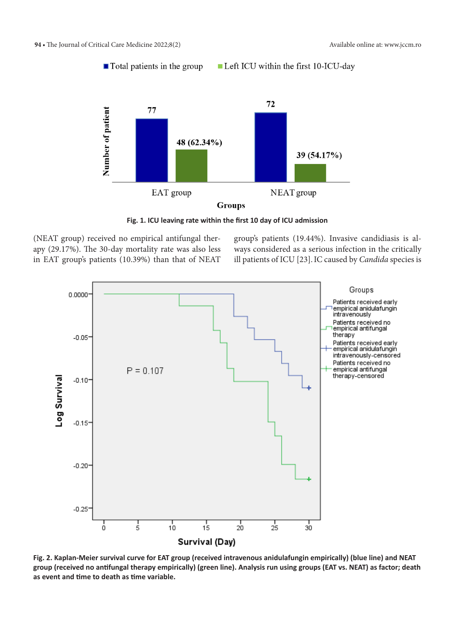Left ICU within the first 10-ICU-day  $\blacksquare$  Total patients in the group



**Fig. 1. ICU leaving rate within the first 10 day of ICU admission**

(NEAT group) received no empirical antifungal therapy (29.17%). The 30-day mortality rate was also less in EAT group's patients (10.39%) than that of NEAT group's patients (19.44%). Invasive candidiasis is always considered as a serious infection in the critically ill patients of ICU [23].IC caused by *Candida* species is



**Fig. 2. Kaplan-Meier survival curve for EAT group (received intravenous anidulafungin empirically) (blue line) and NEAT group (received no antifungal therapy empirically) (green line). Analysis run using groups (EAT vs. NEAT) as factor; death as event and time to death as time variable.**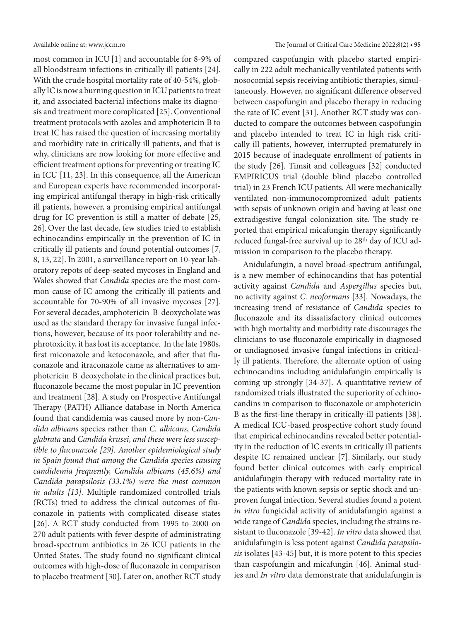most common in ICU [1] and accountable for 8-9% of all bloodstream infections in critically ill patients [24]. With the crude hospital mortality rate of 40-54%, globally IC is now a burning question in ICU patients to treat it, and associated bacterial infections make its diagnosis and treatment more complicated [25]. Conventional treatment protocols with azoles and amphotericin B to treat IC has raised the question of increasing mortality and morbidity rate in critically ill patients, and that is why, clinicians are now looking for more effective and efficient treatment options for preventing or treating IC in ICU [11, 23]. In this consequence, all the American and European experts have recommended incorporating empirical antifungal therapy in high-risk critically ill patients, however, a promising empirical antifungal drug for IC prevention is still a matter of debate [25, 26]. Over the last decade, few studies tried to establish echinocandins empirically in the prevention of IC in critically ill patients and found potential outcomes [7, 8, 13, 22]. In 2001, a surveillance report on 10-year laboratory repots of deep-seated mycoses in England and Wales showed that *Candida* species are the most common cause of IC among the critically ill patients and accountable for 70-90% of all invasive mycoses [27]. For several decades, amphotericin B deoxycholate was used as the standard therapy for invasive fungal infections, however, because of its poor tolerability and nephrotoxicity, it has lost its acceptance. In the late 1980s, first miconazole and ketoconazole, and after that fluconazole and itraconazole came as alternatives to amphotericin B deoxycholate in the clinical practices but, fluconazole became the most popular in IC prevention and treatment [28]. A study on Prospective Antifungal Therapy (PATH) Alliance database in North America found that candidemia was caused more by non-*Candida albicans* species rather than *C. albicans*, *Candida glabrata* and *Candida krusei, and these were less susceptible to fluconazole [29]. Another epidemiological study in Spain found that among the Candida species causing candidemia frequently, Candida albicans (45.6%) and Candida parapsilosis (33.1%) were the most common in adults [13].* Multiple randomized controlled trials (RCTs) tried to address the clinical outcomes of fluconazole in patients with complicated disease states [26]. A RCT study conducted from 1995 to 2000 on 270 adult patients with fever despite of administrating broad-spectrum antibiotics in 26 ICU patients in the United States. The study found no significant clinical outcomes with high-dose of fluconazole in comparison to placebo treatment [30]. Later on, another RCT study

compared caspofungin with placebo started empirically in 222 adult mechanically ventilated patients with nosocomial sepsis receiving antibiotic therapies, simultaneously. However, no significant difference observed between caspofungin and placebo therapy in reducing the rate of IC event [31]. Another RCT study was conducted to compare the outcomes between caspofungin and placebo intended to treat IC in high risk critically ill patients, however, interrupted prematurely in 2015 because of inadequate enrollment of patients in the study [26]. Timsit and colleagues [32] conducted EMPIRICUS trial (double blind placebo controlled trial) in 23 French ICU patients. All were mechanically ventilated non-immunocompromized adult patients with sepsis of unknown origin and having at least one extradigestive fungal colonization site. The study reported that empirical micafungin therapy significantly reduced fungal-free survival up to 28th day of ICU admission in comparison to the placebo therapy.

Anidulafungin, a novel broad‐spectrum antifungal, is a new member of echinocandins that has potential activity against *Candida* and *Aspergillus* species but, no activity against *C. neoformans* [33]*.* Nowadays, the increasing trend of resistance of *Candida* species to fluconazole and its dissatisfactory clinical outcomes with high mortality and morbidity rate discourages the clinicians to use fluconazole empirically in diagnosed or undiagnosed invasive fungal infections in critically ill patients. Therefore, the alternate option of using echinocandins including anidulafungin empirically is coming up strongly [34-37]. A quantitative review of randomized trials illustrated the superiority of echinocandins in comparison to fluconazole or amphotericin B as the first-line therapy in critically-ill patients [38]. A medical ICU-based prospective cohort study found that empirical echinocandins revealed better potentiality in the reduction of IC events in critically ill patients despite IC remained unclear [7]. Similarly, our study found better clinical outcomes with early empirical anidulafungin therapy with reduced mortality rate in the patients with known sepsis or septic shock and unproven fungal infection. Several studies found a potent *in vitro* fungicidal activity of anidulafungin against a wide range of *Candida* species, including the strains resistant to fluconazole [39-42]. *In vitro* data showed that anidulafungin is less potent against *Candida parapsilosis* isolates [43-45] but, it is more potent to this species than caspofungin and micafungin [46]. Animal studies and *In vitro* data demonstrate that anidulafungin is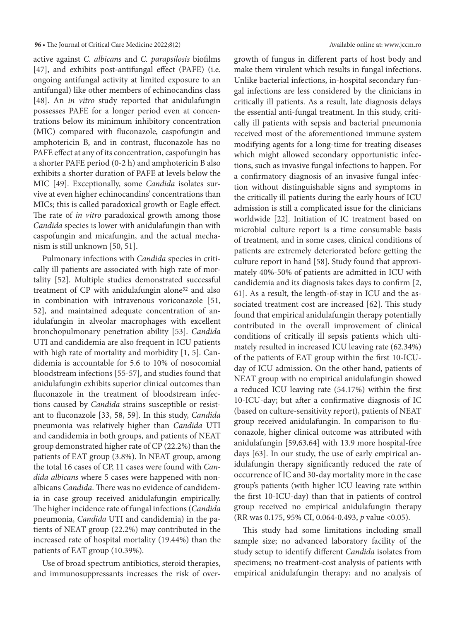active against *C. albicans* and *C. parapsilosis* biofilms [47], and exhibits post-antifungal effect (PAFE) (i.e. ongoing antifungal activity at limited exposure to an antifungal) like other members of echinocandins class [48]. An *in vitro* study reported that anidulafungin possesses PAFE for a longer period even at concentrations below its minimum inhibitory concentration (MIC) compared with fluconazole, caspofungin and amphotericin B, and in contrast, fluconazole has no PAFE effect at any of its concentration, caspofungin has a shorter PAFE period (0-2 h) and amphotericin B also exhibits a shorter duration of PAFE at levels below the MIC [49]. Exceptionally, some *Candida* isolates survive at even higher echinocandins' concentrations than MICs; this is called paradoxical growth or Eagle effect. The rate of *in vitro* paradoxical growth among those *Candida* species is lower with anidulafungin than with caspofungin and micafungin, and the actual mechanism is still unknown [50, 51].

Pulmonary infections with *Candida* species in critically ill patients are associated with high rate of mortality [52]. Multiple studies demonstrated successful treatment of CP with anidulafungin alone<sup>52</sup> and also in combination with intravenous voriconazole [51, 52], and maintained adequate concentration of anidulafungin in alveolar macrophages with excellent bronchopulmonary penetration ability [53]. *Candida* UTI and candidemia are also frequent in ICU patients with high rate of mortality and morbidity [1, 5]. Candidemia is accountable for 5.6 to 10% of nosocomial bloodstream infections [55-57], and studies found that anidulafungin exhibits superior clinical outcomes than fluconazole in the treatment of bloodstream infections caused by *Candida* strains susceptible or resistant to fluconazole [33, 58, 59]. In this study, *Candida* pneumonia was relatively higher than *Candida* UTI and candidemia in both groups, and patients of NEAT group demonstrated higher rate of CP (22.2%) than the patients of EAT group (3.8%). In NEAT group, among the total 16 cases of CP, 11 cases were found with *Candida albicans* where 5 cases were happened with nonalbicans *Candida*. There was no evidence of candidemia in case group received anidulafungin empirically. The higher incidence rate of fungal infections (*Candida* pneumonia, *Candida* UTI and candidemia) in the patients of NEAT group (22.2%) may contributed in the increased rate of hospital mortality (19.44%) than the patients of EAT group (10.39%).

Use of broad spectrum antibiotics, steroid therapies, and immunosuppressants increases the risk of overgrowth of fungus in different parts of host body and make them virulent which results in fungal infections. Unlike bacterial infections, in-hospital secondary fungal infections are less considered by the clinicians in critically ill patients. As a result, late diagnosis delays the essential anti-fungal treatment. In this study, critically ill patients with sepsis and bacterial pneumonia received most of the aforementioned immune system modifying agents for a long-time for treating diseases which might allowed secondary opportunistic infections, such as invasive fungal infections to happen. For a confirmatory diagnosis of an invasive fungal infection without distinguishable signs and symptoms in the critically ill patients during the early hours of ICU admission is still a complicated issue for the clinicians worldwide [22]. Initiation of IC treatment based on microbial culture report is a time consumable basis of treatment, and in some cases, clinical conditions of patients are extremely deteriorated before getting the culture report in hand [58]. Study found that approximately 40%-50% of patients are admitted in ICU with candidemia and its diagnosis takes days to confirm [2, 61]. As a result, the length-of-stay in ICU and the associated treatment cost are increased [62]. This study found that empirical anidulafungin therapy potentially contributed in the overall improvement of clinical conditions of critically ill sepsis patients which ultimately resulted in increased ICU leaving rate (62.34%) of the patients of EAT group within the first 10-ICUday of ICU admission. On the other hand, patients of NEAT group with no empirical anidulafungin showed a reduced ICU leaving rate (54.17%) within the first 10-ICU-day; but after a confirmative diagnosis of IC (based on culture-sensitivity report), patients of NEAT group received anidulafungin. In comparison to fluconazole, higher clinical outcome was attributed with anidulafungin [59,63,64] with 13.9 more hospital-free days [63]. In our study, the use of early empirical anidulafungin therapy significantly reduced the rate of occurrence of IC and 30-day mortality more in the case group's patients (with higher ICU leaving rate within the first 10-ICU-day) than that in patients of control group received no empirical anidulafungin therapy (RR was 0.175, 95% CI, 0.064-0.493, *p* value <0.05).

This study had some limitations including small sample size; no advanced laboratory facility of the study setup to identify different *Candida* isolates from specimens; no treatment-cost analysis of patients with empirical anidulafungin therapy; and no analysis of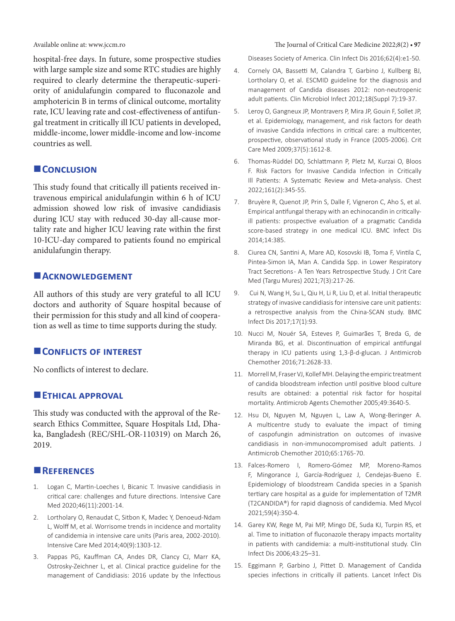hospital-free days. In future, some prospective studies with large sample size and some RTC studies are highly required to clearly determine the therapeutic-superiority of anidulafungin compared to fluconazole and amphotericin B in terms of clinical outcome, mortality rate, ICU leaving rate and cost-effectiveness of antifungal treatment in critically ill ICU patients in developed, middle-income, lower middle-income and low-income countries as well.

#### **CONCLUSION**

This study found that critically ill patients received intravenous empirical anidulafungin within 6 h of ICU admission showed low risk of invasive candidiasis during ICU stay with reduced 30-day all-cause mortality rate and higher ICU leaving rate within the first 10-ICU-day compared to patients found no empirical anidulafungin therapy.

#### **Acknowledgement**

All authors of this study are very grateful to all ICU doctors and authority of Square hospital because of their permission for this study and all kind of cooperation as well as time to time supports during the study.

#### **CONFLICTS OF INTEREST**

No conflicts of interest to declare.

#### **ETHICAL APPROVAL**

This study was conducted with the approval of the Research Ethics Committee, Square Hospitals Ltd, Dhaka, Bangladesh (REC/SHL-OR-110319) on March 26, 2019.

#### **References**

- 1. Logan C, Martin-Loeches I, Bicanic T. Invasive candidiasis in critical care: challenges and future directions. Intensive Care Med 2020;46(11):2001-14.
- 2. Lortholary O, Renaudat C, Sitbon K, Madec Y, Denoeud-Ndam L, Wolff M, et al. Worrisome trends in incidence and mortality of candidemia in intensive care units (Paris area, 2002-2010). Intensive Care Med 2014;40(9):1303-12.
- 3. Pappas PG, Kauffman CA, Andes DR, Clancy CJ, Marr KA, Ostrosky-Zeichner L, et al. Clinical practice guideline for the management of Candidiasis: 2016 update by the Infectious

#### Available online at: www.jccm.ro  $\overline{O(1)}$  **12.8 and 2022;8(2) • 97 The Journal of Critical Care Medicine 2022;8(2)** • 97

Diseases Society of America. Clin Infect Dis 2016;62(4):e1-50.

- 4. Cornely OA, Bassetti M, Calandra T, Garbino J, Kullberg BJ, Lortholary O, et al. ESCMID guideline for the diagnosis and management of Candida diseases 2012: non-neutropenic adult patients. Clin Microbiol Infect 2012;18(Suppl 7):19-37.
- 5. Leroy O, Gangneux JP, Montravers P, Mira JP, Gouin F, Sollet JP, et al. Epidemiology, management, and risk factors for death of invasive Candida infections in critical care: a multicenter, prospective, observational study in France (2005-2006). Crit Care Med 2009;37(5):1612-8.
- 6. Thomas-Rüddel DO, Schlattmann P, Pletz M, Kurzai O, Bloos F. Risk Factors for Invasive Candida Infection in Critically Ill Patients: A Systematic Review and Meta-analysis. Chest 2022;161(2):345-55.
- 7. Bruyère R, Quenot JP, Prin S, Dalle F, Vigneron C, Aho S, et al. Empirical antifungal therapy with an echinocandin in criticallyill patients: prospective evaluation of a pragmatic Candida score-based strategy in one medical ICU. BMC Infect Dis 2014;14:385.
- 8. Ciurea CN, Santini A, Mare AD, Kosovski IB, Toma F, Vintila C, Pintea-Simon IA, Man A. Candida Spp. in Lower Respiratory Tract Secretions - A Ten Years Retrospective Study. J Crit Care Med (Targu Mures) 2021;7(3):217-26.
- 9. Cui N, Wang H, Su L, Qiu H, Li R, Liu D, et al. Initial therapeutic strategy of invasive candidiasis for intensive care unit patients: a retrospective analysis from the China-SCAN study. BMC Infect Dis 2017;17(1):93.
- 10. Nucci M, Nouér SA, Esteves P, Guimarães T, Breda G, de Miranda BG, et al. Discontinuation of empirical antifungal therapy in ICU patients using 1,3-β-d-glucan. J Antimicrob Chemother 2016;71:2628-33.
- 11. Morrell M, Fraser VJ, Kollef MH. Delaying the empiric treatment of candida bloodstream infection until positive blood culture results are obtained: a potential risk factor for hospital mortality. Antimicrob Agents Chemother 2005;49:3640-5.
- 12. Hsu DI, Nguyen M, Nguyen L, Law A, Wong-Beringer A. A multicentre study to evaluate the impact of timing of caspofungin administration on outcomes of invasive candidiasis in non-immunocompromised adult patients. J Antimicrob Chemother 2010;65:1765-70.
- 13. Falces-Romero I, Romero-Gómez MP, Moreno-Ramos F, Mingorance J, García-Rodríguez J, Cendejas-Bueno E. Epidemiology of bloodstream Candida species in a Spanish tertiary care hospital as a guide for implementation of T2MR (T2CANDIDA®) for rapid diagnosis of candidemia. Med Mycol 2021;59(4):350-4.
- 14. Garey KW, Rege M, Pai MP, Mingo DE, Suda KJ, Turpin RS, et al. Time to initiation of fluconazole therapy impacts mortality in patients with candidemia: a multi-institutional study. Clin Infect Dis 2006;43:25–31.
- 15. Eggimann P, Garbino J, Pittet D. Management of Candida species infections in critically ill patients. Lancet Infect Dis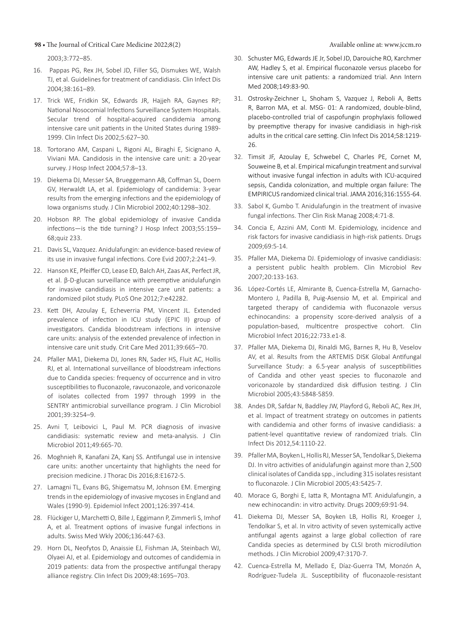#### **98 •** The Journal of Critical Care Medicine 2022;8(2) Available online at: www.jccm.ro

2003;3:772–85.

- 16. Pappas PG, Rex JH, Sobel JD, Filler SG, Dismukes WE, Walsh TJ, et al. Guidelines for treatment of candidiasis. Clin Infect Dis 2004;38:161–89.
- 17. Trick WE, Fridkin SK, Edwards JR, Hajjeh RA, Gaynes RP; National Nosocomial Infections Surveillance System Hospitals. Secular trend of hospital-acquired candidemia among intensive care unit patients in the United States during 1989- 1999. Clin Infect Dis 2002;5:627–30.
- 18. Tortorano AM, Caspani L, Rigoni AL, Biraghi E, Sicignano A, Viviani MA. Candidosis in the intensive care unit: a 20-year survey. J Hosp Infect 2004;57:8–13.
- 19. Diekema DJ, Messer SA, Brueggemann AB, Coffman SL, Doern GV, Herwaldt LA, et al. Epidemiology of candidemia: 3-year results from the emerging infections and the epidemiology of Iowa organisms study. J Clin Microbiol 2002;40:1298–302.
- 20. Hobson RP. The global epidemiology of invasive Candida infections—is the tide turning? J Hosp Infect 2003;55:159– 68;quiz 233.
- 21. Davis SL, Vazquez. Anidulafungin: an evidence-based review of its use in invasive fungal infections. Core Evid 2007;2:241–9.
- 22. Hanson KE, Pfeiffer CD, Lease ED, Balch AH, Zaas AK, Perfect JR, et al. β-D-glucan surveillance with preemptive anidulafungin for invasive candidiasis in intensive care unit patients: a randomized pilot study. PLoS One 2012;7:e42282.
- 23. Kett DH, Azoulay E, Echeverria PM, Vincent JL. Extended prevalence of infection in ICU study (EPIC II) group of investigators. Candida bloodstream infections in intensive care units: analysis of the extended prevalence of infection in intensive care unit study. Crit Care Med 2011;39:665–70.
- 24. Pfaller MA1, Diekema DJ, Jones RN, Sader HS, Fluit AC, Hollis RJ, et al. International surveillance of bloodstream infections due to Candida species: frequency of occurrence and in vitro susceptibilities to fluconazole, ravuconazole, and voriconazole of isolates collected from 1997 through 1999 in the SENTRY antimicrobial surveillance program. J Clin Microbiol 2001;39:3254–9.
- 25. Avni T, Leibovici L, Paul M. PCR diagnosis of invasive candidiasis: systematic review and meta-analysis. J Clin Microbiol 2011;49:665-70.
- 26. Moghnieh R, Kanafani ZA, Kanj SS. Antifungal use in intensive care units: another uncertainty that highlights the need for precision medicine. J Thorac Dis 2016;8:E1672-5.
- 27. Lamagni TL, Evans BG, Shigematsu M, Johnson EM. Emerging trends in the epidemiology of invasive mycoses in England and Wales (1990-9). Epidemiol Infect 2001;126:397-414.
- 28. Flückiger U, Marchetti O, Bille J, Eggimann P, Zimmerli S, Imhof A, et al. Treatment options of invasive fungal infections in adults. Swiss Med Wkly 2006;136:447-63.
- 29. Horn DL, Neofytos D, Anaissie EJ, Fishman JA, Steinbach WJ, Olyaei AJ, et al. Epidemiology and outcomes of candidemia in 2019 patients: data from the prospective antifungal therapy alliance registry. Clin Infect Dis 2009;48:1695–703.
- 30. Schuster MG, Edwards JE Jr, Sobel JD, Darouiche RO, Karchmer AW, Hadley S, et al. Empirical fluconazole versus placebo for intensive care unit patients: a randomized trial. Ann Intern Med 2008;149:83-90.
- 31. Ostrosky-Zeichner L, Shoham S, Vazquez J, Reboli A, Betts R, Barron MA, et al. MSG- 01: A randomized, double-blind, placebo-controlled trial of caspofungin prophylaxis followed by preemptive therapy for invasive candidiasis in high-risk adults in the critical care setting. Clin Infect Dis 2014;58:1219- 26.
- 32. Timsit JF, Azoulay E, Schwebel C, Charles PE, Cornet M, Souweine B, et al. Empirical micafungin treatment and survival without invasive fungal infection in adults with ICU-acquired sepsis, Candida colonization, and multiple organ failure: The EMPIRICUS randomized clinical trial. JAMA 2016;316:1555-64.
- 33. Sabol K, Gumbo T. Anidulafungin in the treatment of invasive fungal infections. Ther Clin Risk Manag 2008;4:71-8.
- 34. Concia E, Azzini AM, Conti M. Epidemiology, incidence and risk factors for invasive candidiasis in high‐risk patients. Drugs 2009;69:5-14.
- 35. Pfaller MA, Diekema DJ. Epidemiology of invasive candidiasis: a persistent public health problem. Clin Microbiol Rev 2007;20:133-163.
- 36. López-Cortés LE, Almirante B, Cuenca-Estrella M, Garnacho-Montero J, Padilla B, Puig-Asensio M, et al. Empirical and targeted therapy of candidemia with fluconazole versus echinocandins: a propensity score-derived analysis of a population-based, multicentre prospective cohort. Clin Microbiol Infect 2016;22:733.e1-8.
- 37. Pfaller MA, Diekema DJ, Rinaldi MG, Barnes R, Hu B, Veselov AV, et al. Results from the ARTEMIS DISK Global Antifungal Surveillance Study: a 6.5‐year analysis of susceptibilities of Candida and other yeast species to fluconazole and voriconazole by standardized disk diffusion testing. J Clin Microbiol 2005;43:5848-5859.
- 38. Andes DR, Safdar N, Baddley JW, Playford G, Reboli AC, Rex JH, et al. Impact of treatment strategy on outcomes in patients with candidemia and other forms of invasive candidiasis: a patient-level quantitative review of randomized trials. Clin Infect Dis 2012,54:1110-22.
- 39. Pfaller MA, Boyken L, Hollis RJ, Messer SA, Tendolkar S, Diekema DJ. In vitro activities of anidulafungin against more than 2,500 clinical isolates of Candida spp., including 315 isolates resistant to fluconazole. J Clin Microbiol 2005;43:5425-7.
- 40. Morace G, Borghi E, Iatta R, Montagna MT. Anidulafungin, a new echinocandin: in vitro activity. Drugs 2009;69:91-94.
- 41. Diekema DJ, Messer SA, Boyken LB, Hollis RJ, Kroeger J, Tendolkar S, et al. In vitro activity of seven systemically active antifungal agents against a large global collection of rare Candida species as determined by CLSI broth microdilution methods. J Clin Microbiol 2009;47:3170-7.
- 42. Cuenca‐Estrella M, Mellado E, Díaz‐Guerra TM, Monzón A, Rodríguez‐Tudela JL. Susceptibility of fluconazole‐resistant